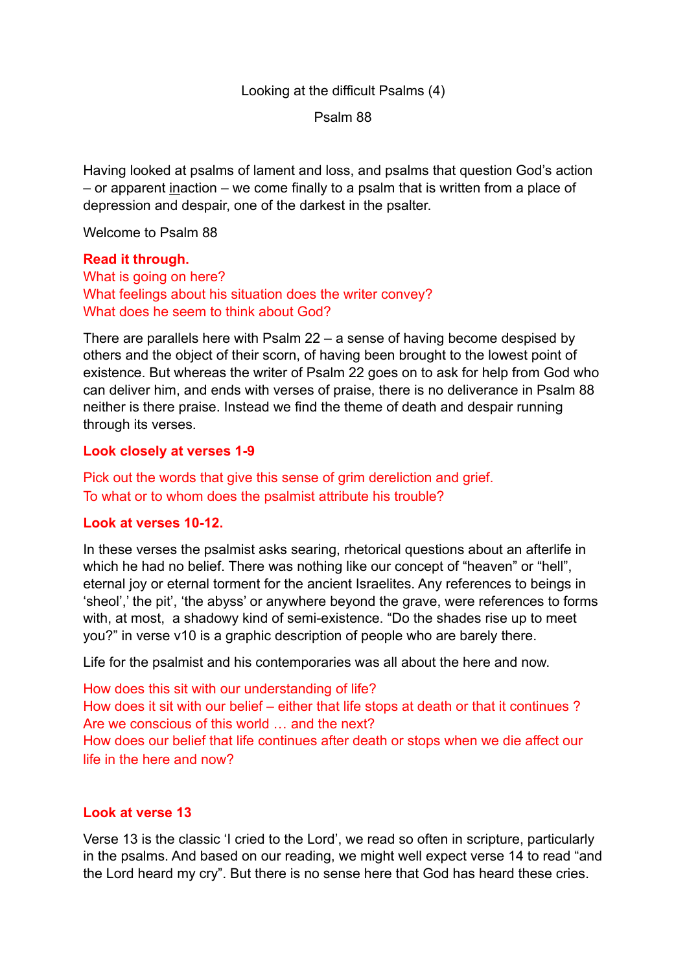# Looking at the difficult Psalms (4)

Psalm 88

Having looked at psalms of lament and loss, and psalms that question God's action – or apparent inaction – we come finally to a psalm that is written from a place of depression and despair, one of the darkest in the psalter.

Welcome to Psalm 88

#### **Read it through.**

What is going on here? What feelings about his situation does the writer convey? What does he seem to think about God?

There are parallels here with Psalm 22 – a sense of having become despised by others and the object of their scorn, of having been brought to the lowest point of existence. But whereas the writer of Psalm 22 goes on to ask for help from God who can deliver him, and ends with verses of praise, there is no deliverance in Psalm 88 neither is there praise. Instead we find the theme of death and despair running through its verses.

### **Look closely at verses 1-9**

Pick out the words that give this sense of grim dereliction and grief. To what or to whom does the psalmist attribute his trouble?

#### **Look at verses 10-12.**

In these verses the psalmist asks searing, rhetorical questions about an afterlife in which he had no belief. There was nothing like our concept of "heaven" or "hell", eternal joy or eternal torment for the ancient Israelites. Any references to beings in 'sheol',' the pit', 'the abyss' or anywhere beyond the grave, were references to forms with, at most, a shadowy kind of semi-existence. "Do the shades rise up to meet you?" in verse v10 is a graphic description of people who are barely there.

Life for the psalmist and his contemporaries was all about the here and now.

How does this sit with our understanding of life? How does it sit with our belief – either that life stops at death or that it continues ? Are we conscious of this world … and the next? How does our belief that life continues after death or stops when we die affect our life in the here and now?

### **Look at verse 13**

Verse 13 is the classic 'I cried to the Lord', we read so often in scripture, particularly in the psalms. And based on our reading, we might well expect verse 14 to read "and the Lord heard my cry". But there is no sense here that God has heard these cries.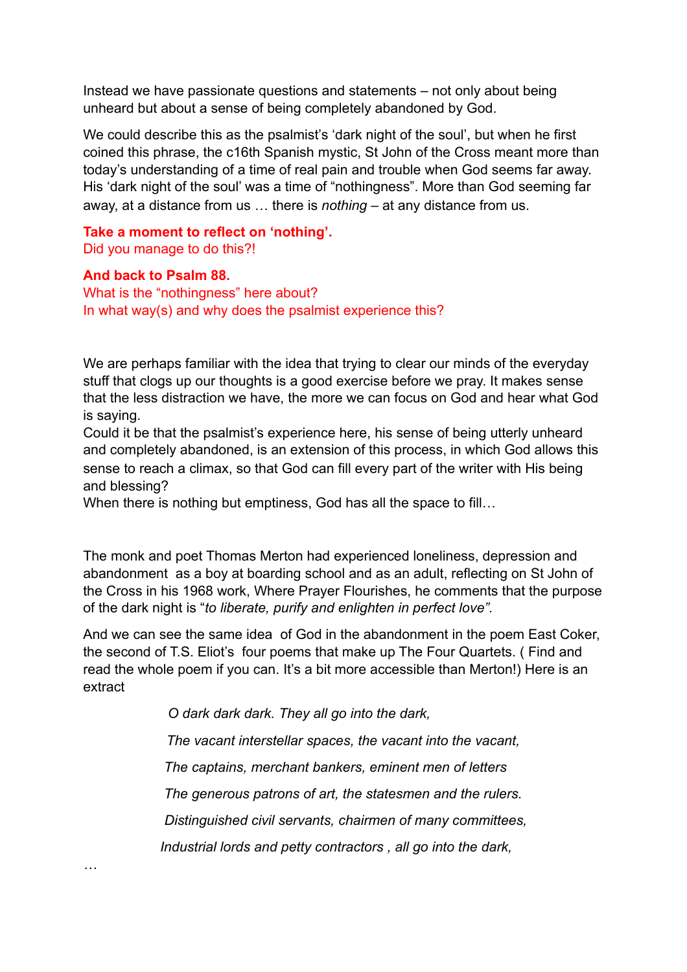Instead we have passionate questions and statements – not only about being unheard but about a sense of being completely abandoned by God.

We could describe this as the psalmist's 'dark night of the soul', but when he first coined this phrase, the c16th Spanish mystic, St John of the Cross meant more than today's understanding of a time of real pain and trouble when God seems far away. His 'dark night of the soul' was a time of "nothingness". More than God seeming far away, at a distance from us … there is *nothing –* at any distance from us.

# **Take a moment to reflect on 'nothing'.**  Did you manage to do this?!

### **And back to Psalm 88.**

*…*

What is the "nothingness" here about? In what way(s) and why does the psalmist experience this?

We are perhaps familiar with the idea that trying to clear our minds of the everyday stuff that clogs up our thoughts is a good exercise before we pray. It makes sense that the less distraction we have, the more we can focus on God and hear what God is saying.

Could it be that the psalmist's experience here, his sense of being utterly unheard and completely abandoned, is an extension of this process, in which God allows this sense to reach a climax, so that God can fill every part of the writer with His being and blessing?

When there is nothing but emptiness, God has all the space to fill...

The monk and poet Thomas Merton had experienced loneliness, depression and abandonment as a boy at boarding school and as an adult, reflecting on St John of the Cross in his 1968 work, Where Prayer Flourishes, he comments that the purpose of the dark night is "*to liberate, purify and enlighten in perfect love".*

And we can see the same idea of God in the abandonment in the poem East Coker, the second of T.S. Eliot's four poems that make up The Four Quartets. ( Find and read the whole poem if you can. It's a bit more accessible than Merton!) Here is an extract

 *O dark dark dark. They all go into the dark,* 

*The vacant interstellar spaces, the vacant into the vacant,* 

 *The captains, merchant bankers, eminent men of letters* 

 *The generous patrons of art, the statesmen and the rulers.* 

 *Distinguished civil servants, chairmen of many committees,* 

 *Industrial lords and petty contractors , all go into the dark,*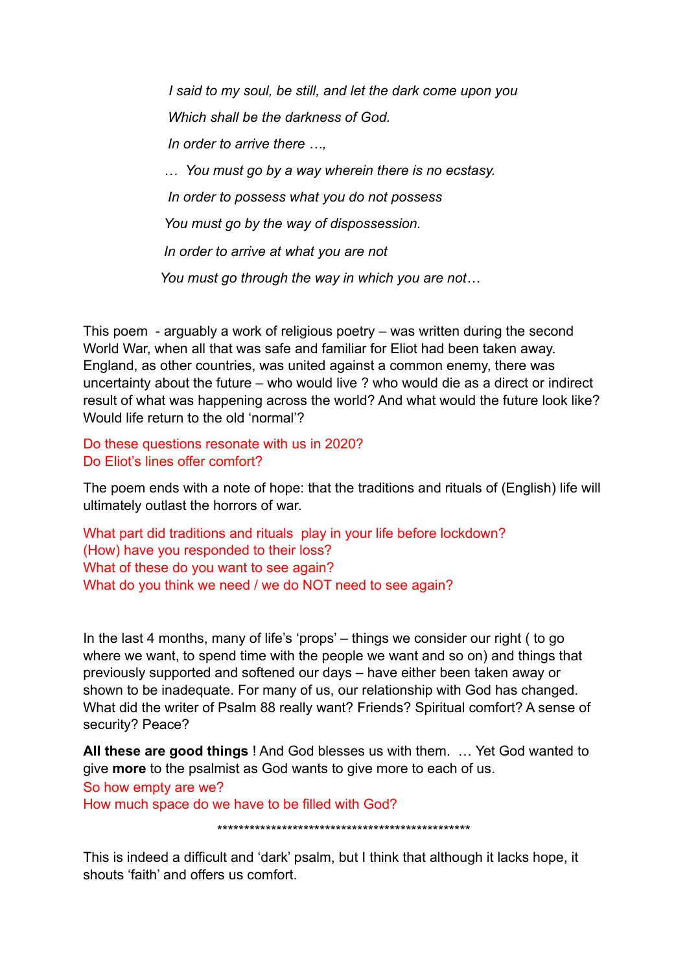*I said to my soul, be still, and let the dark come upon you Which shall be the darkness of God. In order to arrive there …, … You must go by a way wherein there is no ecstasy. In order to possess what you do not possess You must go by the way of dispossession. In order to arrive at what you are not You must go through the way in which you are not…* 

This poem - arguably a work of religious poetry – was written during the second World War, when all that was safe and familiar for Eliot had been taken away. England, as other countries, was united against a common enemy, there was uncertainty about the future – who would live ? who would die as a direct or indirect result of what was happening across the world? And what would the future look like? Would life return to the old 'normal'?

Do these questions resonate with us in 2020? Do Eliot's lines offer comfort?

The poem ends with a note of hope: that the traditions and rituals of (English) life will ultimately outlast the horrors of war.

What part did traditions and rituals play in your life before lockdown? (How) have you responded to their loss? What of these do you want to see again? What do you think we need / we do NOT need to see again?

In the last 4 months, many of life's 'props' – things we consider our right ( to go where we want, to spend time with the people we want and so on) and things that previously supported and softened our days – have either been taken away or shown to be inadequate. For many of us, our relationship with God has changed. What did the writer of Psalm 88 really want? Friends? Spiritual comfort? A sense of security? Peace?

**All these are good things** ! And God blesses us with them. … Yet God wanted to give **more** to the psalmist as God wants to give more to each of us.

So how empty are we?

How much space do we have to be filled with God?

\*\*\*\*\*\*\*\*\*\*\*\*\*\*\*\*\*\*\*\*\*\*\*\*\*\*\*\*\*\*\*\*\*\*\*\*\*\*\*\*\*\*\*\*\*\*\*

This is indeed a difficult and 'dark' psalm, but I think that although it lacks hope, it shouts 'faith' and offers us comfort.